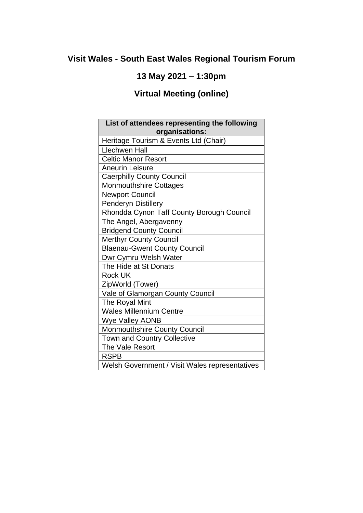## **Visit Wales - South East Wales Regional Tourism Forum**

### **13 May 2021 – 1:30pm**

# **Virtual Meeting (online)**

| List of attendees representing the following<br>organisations: |
|----------------------------------------------------------------|
| Heritage Tourism & Events Ltd (Chair)                          |
| <b>Llechwen Hall</b>                                           |
| <b>Celtic Manor Resort</b>                                     |
| <b>Aneurin Leisure</b>                                         |
| <b>Caerphilly County Council</b>                               |
| <b>Monmouthshire Cottages</b>                                  |
| <b>Newport Council</b>                                         |
| <b>Penderyn Distillery</b>                                     |
| Rhondda Cynon Taff County Borough Council                      |
| The Angel, Abergavenny                                         |
| <b>Bridgend County Council</b>                                 |
| <b>Merthyr County Council</b>                                  |
| <b>Blaenau-Gwent County Council</b>                            |
| Dwr Cymru Welsh Water                                          |
| The Hide at St Donats                                          |
| <b>Rock UK</b>                                                 |
| ZipWorld (Tower)                                               |
| Vale of Glamorgan County Council                               |
| The Royal Mint                                                 |
| <b>Wales Millennium Centre</b>                                 |
| <b>Wye Valley AONB</b>                                         |
| Monmouthshire County Council                                   |
| Town and Country Collective                                    |
| The Vale Resort                                                |
| <b>RSPB</b>                                                    |
| Welsh Government / Visit Wales representatives                 |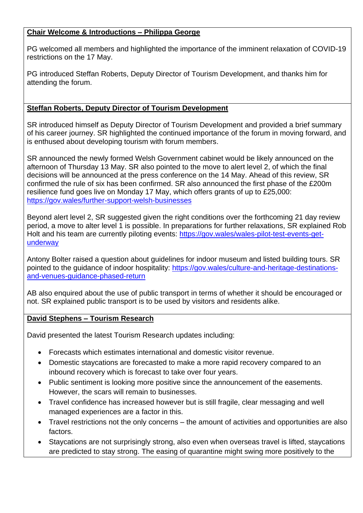#### **Chair Welcome & Introductions – Philippa George**

PG welcomed all members and highlighted the importance of the imminent relaxation of COVID-19 restrictions on the 17 May.

PG introduced Steffan Roberts, Deputy Director of Tourism Development, and thanks him for attending the forum.

#### **Steffan Roberts, Deputy Director of Tourism Development**

SR introduced himself as Deputy Director of Tourism Development and provided a brief summary of his career journey. SR highlighted the continued importance of the forum in moving forward, and is enthused about developing tourism with forum members.

SR announced the newly formed Welsh Government cabinet would be likely announced on the afternoon of Thursday 13 May. SR also pointed to the move to alert level 2, of which the final decisions will be announced at the press conference on the 14 May. Ahead of this review, SR confirmed the rule of six has been confirmed. SR also announced the first phase of the £200m resilience fund goes live on Monday 17 May, which offers grants of up to £25,000: <https://gov.wales/further-support-welsh-businesses>

Beyond alert level 2, SR suggested given the right conditions over the forthcoming 21 day review period, a move to alter level 1 is possible. In preparations for further relaxations, SR explained Rob Holt and his team are currently piloting events: [https://gov.wales/wales-pilot-test-events-get](https://gov.wales/wales-pilot-test-events-get-underway)[underway](https://gov.wales/wales-pilot-test-events-get-underway)

Antony Bolter raised a question about guidelines for indoor museum and listed building tours. SR pointed to the guidance of indoor hospitality: [https://gov.wales/culture-and-heritage-destinations](https://gov.wales/culture-and-heritage-destinations-and-venues-guidance-phased-return)[and-venues-guidance-phased-return](https://gov.wales/culture-and-heritage-destinations-and-venues-guidance-phased-return)

AB also enquired about the use of public transport in terms of whether it should be encouraged or not. SR explained public transport is to be used by visitors and residents alike.

#### **David Stephens – Tourism Research**

David presented the latest Tourism Research updates including:

- Forecasts which estimates international and domestic visitor revenue.
- Domestic staycations are forecasted to make a more rapid recovery compared to an inbound recovery which is forecast to take over four years.
- Public sentiment is looking more positive since the announcement of the easements. However, the scars will remain to businesses.
- Travel confidence has increased however but is still fragile, clear messaging and well managed experiences are a factor in this.
- Travel restrictions not the only concerns the amount of activities and opportunities are also factors.
- Staycations are not surprisingly strong, also even when overseas travel is lifted, staycations are predicted to stay strong. The easing of quarantine might swing more positively to the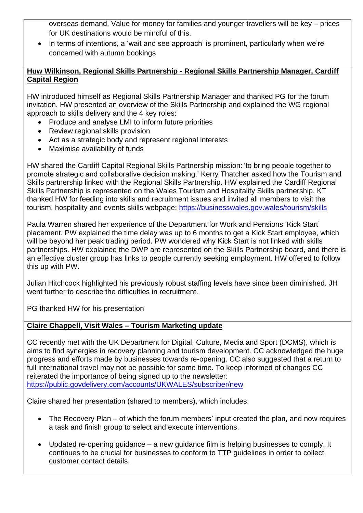overseas demand. Value for money for families and younger travellers will be key – prices for UK destinations would be mindful of this.

In terms of intentions, a 'wait and see approach' is prominent, particularly when we're concerned with autumn bookings

#### **Huw Wilkinson, Regional Skills Partnership - Regional Skills Partnership Manager, Cardiff Capital Region**

HW introduced himself as Regional Skills Partnership Manager and thanked PG for the forum invitation. HW presented an overview of the Skills Partnership and explained the WG regional approach to skills delivery and the 4 key roles:

- Produce and analyse LMI to inform future priorities
- Review regional skills provision
- Act as a strategic body and represent regional interests
- Maximise availability of funds

HW shared the Cardiff Capital Regional Skills Partnership mission: 'to bring people together to promote strategic and collaborative decision making.' Kerry Thatcher asked how the Tourism and Skills partnership linked with the Regional Skills Partnership. HW explained the Cardiff Regional Skills Partnership is represented on the Wales Tourism and Hospitality Skills partnership. KT thanked HW for feeding into skills and recruitment issues and invited all members to visit the tourism, hospitality and events skills webpage:<https://businesswales.gov.wales/tourism/skills>

Paula Warren shared her experience of the Department for Work and Pensions 'Kick Start' placement. PW explained the time delay was up to 6 months to get a Kick Start employee, which will be beyond her peak trading period. PW wondered why Kick Start is not linked with skills partnerships. HW explained the DWP are represented on the Skills Partnership board, and there is an effective cluster group has links to people currently seeking employment. HW offered to follow this up with PW.

Julian Hitchcock highlighted his previously robust staffing levels have since been diminished. JH went further to describe the difficulties in recruitment.

PG thanked HW for his presentation

#### **Claire Chappell, Visit Wales – Tourism Marketing update**

CC recently met with the UK Department for Digital, Culture, Media and Sport (DCMS), which is aims to find synergies in recovery planning and tourism development. CC acknowledged the huge progress and efforts made by businesses towards re-opening. CC also suggested that a return to full international travel may not be possible for some time. To keep informed of changes CC reiterated the importance of being signed up to the newsletter: <https://public.govdelivery.com/accounts/UKWALES/subscriber/new>

Claire shared her presentation (shared to members), which includes:

- The Recovery Plan of which the forum members' input created the plan, and now requires a task and finish group to select and execute interventions.
- Updated re-opening guidance a new guidance film is helping businesses to comply. It continues to be crucial for businesses to conform to TTP guidelines in order to collect customer contact details.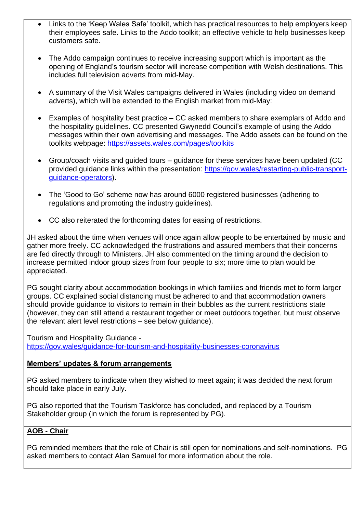- Links to the 'Keep Wales Safe' toolkit, which has practical resources to help employers keep their employees safe. Links to the Addo toolkit; an effective vehicle to help businesses keep customers safe.
- The Addo campaign continues to receive increasing support which is important as the opening of England's tourism sector will increase competition with Welsh destinations. This includes full television adverts from mid-May.
- A summary of the Visit Wales campaigns delivered in Wales (including video on demand adverts), which will be extended to the English market from mid-May:
- Examples of hospitality best practice CC asked members to share exemplars of Addo and the hospitality guidelines. CC presented Gwynedd Council's example of using the Addo messages within their own advertising and messages. The Addo assets can be found on the toolkits webpage:<https://assets.wales.com/pages/toolkits>
- Group/coach visits and guided tours guidance for these services have been updated (CC provided guidance links within the presentation: [https://gov.wales/restarting-public-transport](https://gov.wales/restarting-public-transport-guidance-operators)[guidance-operators\)](https://gov.wales/restarting-public-transport-guidance-operators).
- The 'Good to Go' scheme now has around 6000 registered businesses (adhering to regulations and promoting the industry guidelines).
- CC also reiterated the forthcoming dates for easing of restrictions.

JH asked about the time when venues will once again allow people to be entertained by music and gather more freely. CC acknowledged the frustrations and assured members that their concerns are fed directly through to Ministers. JH also commented on the timing around the decision to increase permitted indoor group sizes from four people to six; more time to plan would be appreciated.

PG sought clarity about accommodation bookings in which families and friends met to form larger groups. CC explained social distancing must be adhered to and that accommodation owners should provide guidance to visitors to remain in their bubbles as the current restrictions state (however, they can still attend a restaurant together or meet outdoors together, but must observe the relevant alert level restrictions – see below guidance).

Tourism and Hospitality Guidance <https://gov.wales/guidance-for-tourism-and-hospitality-businesses-coronavirus>

#### **Members' updates & forum arrangements**

PG asked members to indicate when they wished to meet again; it was decided the next forum should take place in early July.

PG also reported that the Tourism Taskforce has concluded, and replaced by a Tourism Stakeholder group (in which the forum is represented by PG).

### **AOB - Chair**

PG reminded members that the role of Chair is still open for nominations and self-nominations. PG asked members to contact Alan Samuel for more information about the role.